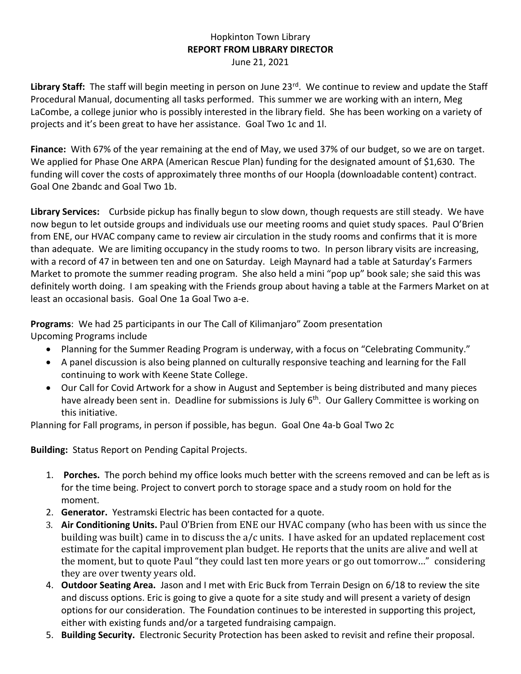## Hopkinton Town Library **REPORT FROM LIBRARY DIRECTOR** June 21, 2021

Library Staff: The staff will begin meeting in person on June 23<sup>rd</sup>. We continue to review and update the Staff Procedural Manual, documenting all tasks performed. This summer we are working with an intern, Meg LaCombe, a college junior who is possibly interested in the library field. She has been working on a variety of projects and it's been great to have her assistance. Goal Two 1c and 1l.

**Finance:** With 67% of the year remaining at the end of May, we used 37% of our budget, so we are on target. We applied for Phase One ARPA (American Rescue Plan) funding for the designated amount of \$1,630. The funding will cover the costs of approximately three months of our Hoopla (downloadable content) contract. Goal One 2bandc and Goal Two 1b.

**Library Services:** Curbside pickup has finally begun to slow down, though requests are still steady. We have now begun to let outside groups and individuals use our meeting rooms and quiet study spaces. Paul O'Brien from ENE, our HVAC company came to review air circulation in the study rooms and confirms that it is more than adequate. We are limiting occupancy in the study rooms to two. In person library visits are increasing, with a record of 47 in between ten and one on Saturday. Leigh Maynard had a table at Saturday's Farmers Market to promote the summer reading program. She also held a mini "pop up" book sale; she said this was definitely worth doing. I am speaking with the Friends group about having a table at the Farmers Market on at least an occasional basis. Goal One 1a Goal Two a-e.

**Programs**: We had 25 participants in our The Call of Kilimanjaro" Zoom presentation Upcoming Programs include

- Planning for the Summer Reading Program is underway, with a focus on "Celebrating Community."
- A panel discussion is also being planned on culturally responsive teaching and learning for the Fall continuing to work with Keene State College.
- Our Call for Covid Artwork for a show in August and September is being distributed and many pieces have already been sent in. Deadline for submissions is July 6<sup>th</sup>. Our Gallery Committee is working on this initiative.

Planning for Fall programs, in person if possible, has begun. Goal One 4a-b Goal Two 2c

**Building:** Status Report on Pending Capital Projects.

- 1. **Porches.** The porch behind my office looks much better with the screens removed and can be left as is for the time being. Project to convert porch to storage space and a study room on hold for the moment.
- 2. **Generator.** Yestramski Electric has been contacted for a quote.
- 3. **Air Conditioning Units.** Paul O'Brien from ENE our HVAC company (who has been with us since the building was built) came in to discuss the a/c units. I have asked for an updated replacement cost estimate for the capital improvement plan budget. He reports that the units are alive and well at the moment, but to quote Paul "they could last ten more years or go out tomorrow…" considering they are over twenty years old.
- 4. **Outdoor Seating Area.** Jason and I met with Eric Buck from Terrain Design on 6/18 to review the site and discuss options. Eric is going to give a quote for a site study and will present a variety of design options for our consideration. The Foundation continues to be interested in supporting this project, either with existing funds and/or a targeted fundraising campaign.
- 5. **Building Security.** Electronic Security Protection has been asked to revisit and refine their proposal.